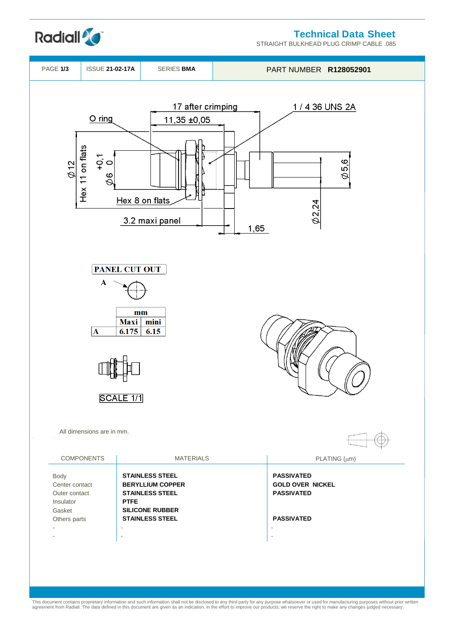



STRAIGHT BULKHEAD PLUG CRIMP CABLE .085



This document contains proprietary information and such information shall not be disclosed to any third party for any purpose whatsoever or used for manufacturing purposes without prior written<br>agreement from Radiall. The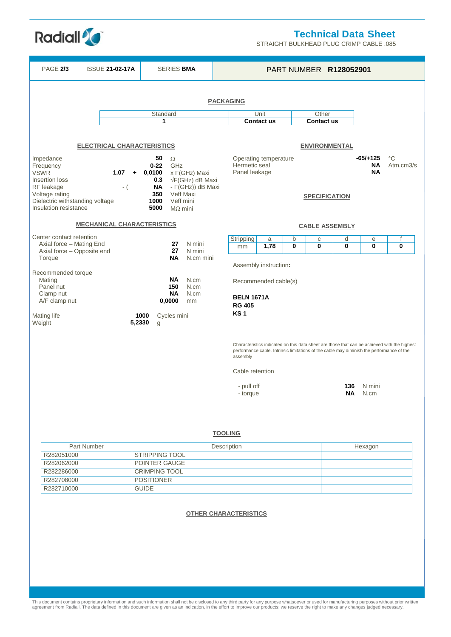

STRAIGHT BULKHEAD PLUG CRIMP CABLE .085

| <b>PAGE 2/3</b>                                                                                                                                                                                                                                                                                                                                                                              |               | <b>ISSUE 21-02-17A</b><br><b>SERIES BMA</b>                                                                                                                                                                                            |                 |                                                |                            | PART NUMBER R128052901                                                                           |                                                       |                                               |                  |        |                                                                                                        |                          |                                                                                              |
|----------------------------------------------------------------------------------------------------------------------------------------------------------------------------------------------------------------------------------------------------------------------------------------------------------------------------------------------------------------------------------------------|---------------|----------------------------------------------------------------------------------------------------------------------------------------------------------------------------------------------------------------------------------------|-----------------|------------------------------------------------|----------------------------|--------------------------------------------------------------------------------------------------|-------------------------------------------------------|-----------------------------------------------|------------------|--------|--------------------------------------------------------------------------------------------------------|--------------------------|----------------------------------------------------------------------------------------------|
|                                                                                                                                                                                                                                                                                                                                                                                              |               |                                                                                                                                                                                                                                        |                 |                                                |                            |                                                                                                  |                                                       |                                               |                  |        |                                                                                                        |                          |                                                                                              |
| <b>PACKAGING</b>                                                                                                                                                                                                                                                                                                                                                                             |               |                                                                                                                                                                                                                                        |                 |                                                |                            |                                                                                                  |                                                       |                                               |                  |        |                                                                                                        |                          |                                                                                              |
|                                                                                                                                                                                                                                                                                                                                                                                              | Standard<br>1 |                                                                                                                                                                                                                                        |                 |                                                |                            | Unit<br><b>Contact us</b>                                                                        |                                                       | Other<br><b>Contact us</b>                    |                  |        |                                                                                                        |                          |                                                                                              |
| Impedance<br>Frequency<br><b>VSWR</b><br>Insertion loss<br>RF leakage<br>Voltage rating<br>Dielectric withstanding voltage<br>Insulation resistance                                                                                                                                                                                                                                          |               | <b>ELECTRICAL CHARACTERISTICS</b><br>50<br>$\Omega$<br>GHz<br>$0 - 22$<br>$+ 0,0100$<br>x F(GHz) Maxi<br>0.3<br>$\sqrt{F}$ (GHz) dB Maxi<br>ΝA<br>- F(GHz)) dB Maxi<br>350<br>Veff Maxi<br>1000<br>Veff mini<br>5000<br>$M\Omega$ mini |                 |                                                |                            | ENVIRONMENTAL<br>Operating temperature<br>Hermetic seal<br>Panel leakage<br><b>SPECIFICATION</b> |                                                       |                                               |                  |        | $-65/+125$<br>ΝA<br><b>NA</b>                                                                          | $^{\circ}C$<br>Atm.cm3/s |                                                                                              |
| <b>MECHANICAL CHARACTERISTICS</b>                                                                                                                                                                                                                                                                                                                                                            |               |                                                                                                                                                                                                                                        |                 |                                                |                            |                                                                                                  |                                                       |                                               |                  |        | <b>CABLE ASSEMBLY</b>                                                                                  |                          |                                                                                              |
| Center contact retention<br>Axial force - Mating End                                                                                                                                                                                                                                                                                                                                         |               |                                                                                                                                                                                                                                        | 27              | N mini                                         |                            | Stripping<br>mm                                                                                  | a<br>1,78                                             | b<br>$\bf{0}$                                 | $\mathbf C$<br>0 | d<br>0 | e<br>$\bf{0}$                                                                                          | $\mathsf{f}$<br>0        |                                                                                              |
| Axial force - Opposite end<br>Torque                                                                                                                                                                                                                                                                                                                                                         |               |                                                                                                                                                                                                                                        | 27<br><b>NA</b> | N mini<br>N.cm mini                            |                            |                                                                                                  |                                                       |                                               |                  |        |                                                                                                        |                          |                                                                                              |
| Recommended torque<br>Mating<br>Panel nut<br>Clamp nut<br>A/F clamp nut<br>Mating life<br>Weight                                                                                                                                                                                                                                                                                             |               |                                                                                                                                                                                                                                        | 1000<br>5,2330  | NA.<br>150<br>NA<br>0,0000<br>Cycles mini<br>g | N.cm<br>N.cm<br>N.cm<br>mm |                                                                                                  | <b>BELN 1671A</b><br><b>RG 405</b><br>KS <sub>1</sub> | Assembly instruction:<br>Recommended cable(s) |                  |        |                                                                                                        |                          |                                                                                              |
|                                                                                                                                                                                                                                                                                                                                                                                              |               |                                                                                                                                                                                                                                        |                 |                                                |                            |                                                                                                  | assembly<br>Cable retention<br>- pull off<br>- torque |                                               |                  |        | performance cable. Intrinsic limitations of the cable may diminish the performance of the<br>136<br>ΝA | N mini<br>N.cm           | Characteristics indicated on this data sheet are those that can be achieved with the highest |
| <b>TOOLING</b><br><b>Part Number</b><br>Description<br><b>STRIPPING TOOL</b><br>R282051000<br>POINTER GAUGE<br>R282062000<br><b>CRIMPING TOOL</b><br>R282286000<br>R282708000<br><b>POSITIONER</b><br>R282710000<br><b>GUIDE</b><br><b>OTHER CHARACTERISTICS</b>                                                                                                                             |               |                                                                                                                                                                                                                                        |                 |                                                |                            |                                                                                                  |                                                       |                                               |                  |        | Hexagon                                                                                                |                          |                                                                                              |
| This document contains proprietary information and such information shall not be disclosed to any third party for any purpose whatsoever or used for manufacturing purposes without prior written<br>agreement from Radiall. The data defined in this document are given as an indication, in the effort to improve our products; we reserve the right to make any changes judged necessary. |               |                                                                                                                                                                                                                                        |                 |                                                |                            |                                                                                                  |                                                       |                                               |                  |        |                                                                                                        |                          |                                                                                              |

**Radiall<sup>2</sup>C**